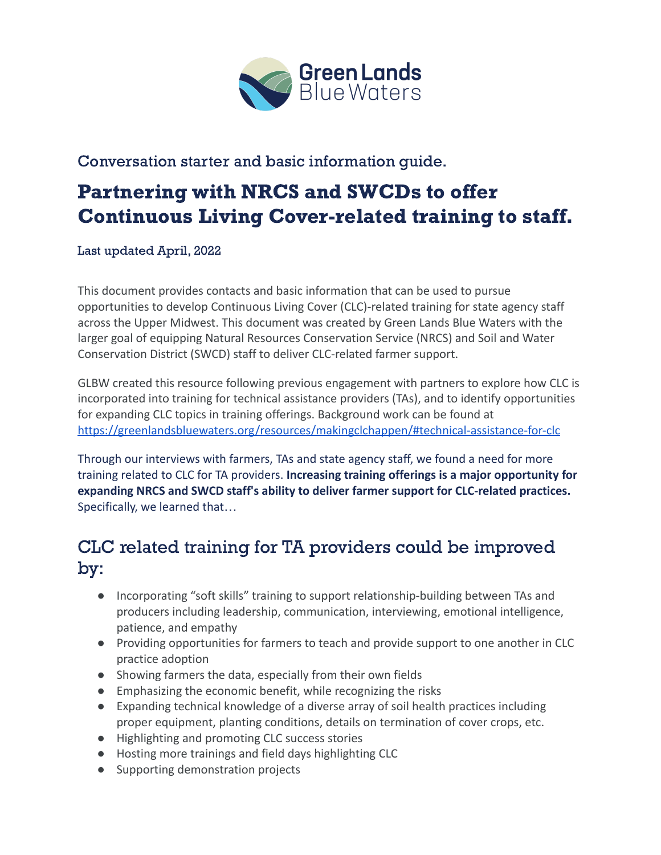

### Conversation starter and basic information guide.

# Partnering with NRCS and SWCDs to offer Continuous Living Cover-related training to staff.

Last updated April, 2022

This document provides contacts and basic information that can be used to pursue opportunities to develop Continuous Living Cover (CLC)-related training for state agency staff across the Upper Midwest. This document was created by Green Lands Blue Waters with the larger goal of equipping Natural Resources Conservation Service (NRCS) and Soil and Water Conservation District (SWCD) staff to deliver CLC-related farmer support.

GLBW created this resource following previous engagement with partners to explore how CLC is incorporated into training for technical assistance providers (TAs), and to identify opportunities for expanding CLC topics in training offerings. Background work can be found at <https://greenlandsbluewaters.org/resources/makingclchappen/#technical-assistance-for-clc>

Through our interviews with farmers, TAs and state agency staff, we found a need for more training related to CLC for TA providers. **Increasing training offerings is a major opportunity for expanding NRCS and SWCD staff's ability to deliver farmer support for CLC-related practices.** Specifically, we learned that…

# CLC related training for TA providers could be improved by:

- Incorporating "soft skills" training to support relationship-building between TAs and producers including leadership, communication, interviewing, emotional intelligence, patience, and empathy
- Providing opportunities for farmers to teach and provide support to one another in CLC practice adoption
- Showing farmers the data, especially from their own fields
- Emphasizing the economic benefit, while recognizing the risks
- Expanding technical knowledge of a diverse array of soil health practices including proper equipment, planting conditions, details on termination of cover crops, etc.
- Highlighting and promoting CLC success stories
- Hosting more trainings and field days highlighting CLC
- Supporting demonstration projects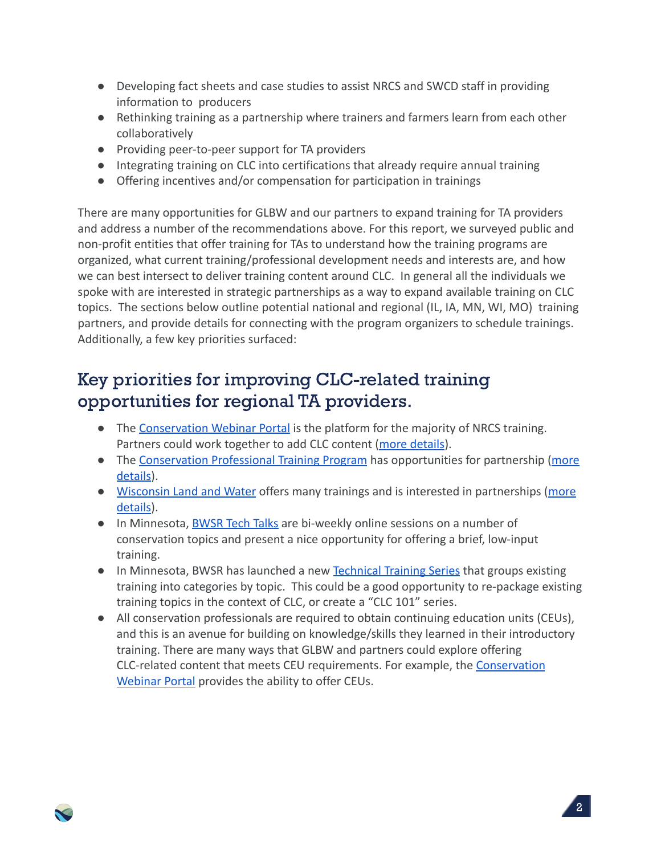- Developing fact sheets and case studies to assist NRCS and SWCD staff in providing information to producers
- Rethinking training as a partnership where trainers and farmers learn from each other collaboratively
- Providing peer-to-peer support for TA providers
- Integrating training on CLC into certifications that already require annual training
- Offering incentives and/or compensation for participation in trainings

There are many opportunities for GLBW and our partners to expand training for TA providers and address a number of the recommendations above. For this report, we surveyed public and non-profit entities that offer training for TAs to understand how the training programs are organized, what current training/professional development needs and interests are, and how we can best intersect to deliver training content around CLC. In general all the individuals we spoke with are interested in strategic partnerships as a way to expand available training on CLC topics. The sections below outline potential national and regional (IL, IA, MN, WI, MO) training partners, and provide details for connecting with the program organizers to schedule trainings. Additionally, a few key priorities surfaced:

# Key priorities for improving CLC-related training opportunities for regional TA providers.

- The [Conservation Webinar Portal](https://conservationwebinars.net) is the platform for the majority of NRCS training. Partners could work together to add CLC content (more [details\)](#page-3-0).
- The [Conservation Professional Training Program](https://conservationprotraining.org) has opportunities for partnership [\(more](#page-3-1) [details](#page-3-1)).
- [Wisconsin Land and Water](https://wisconsinlandwater.org) offers many trainings and is interested in partnerships ([more](#page-5-0) [details](#page-5-0)).
- In Minnesota, [BWSR Tech Talks](http://bwsr.state.mn.us/tech-talks) are bi-weekly online sessions on a number of conservation topics and present a nice opportunity for offering a brief, low-input training.
- In Minnesota, BWSR has launched a new [Technical Training](http://bwsr.state.mn.us/technical-training-resources) Series that groups existing training into categories by topic. This could be a good opportunity to re-package existing training topics in the context of CLC, or create a "CLC 101" series.
- All conservation professionals are required to obtain continuing education units (CEUs), and this is an avenue for building on knowledge/skills they learned in their introductory training. There are many ways that GLBW and partners could explore offering CLC-related content that meets CEU requirements. For example, the [Conservation](#page-3-0) [Webinar Portal](#page-3-0) provides the ability to offer CEUs.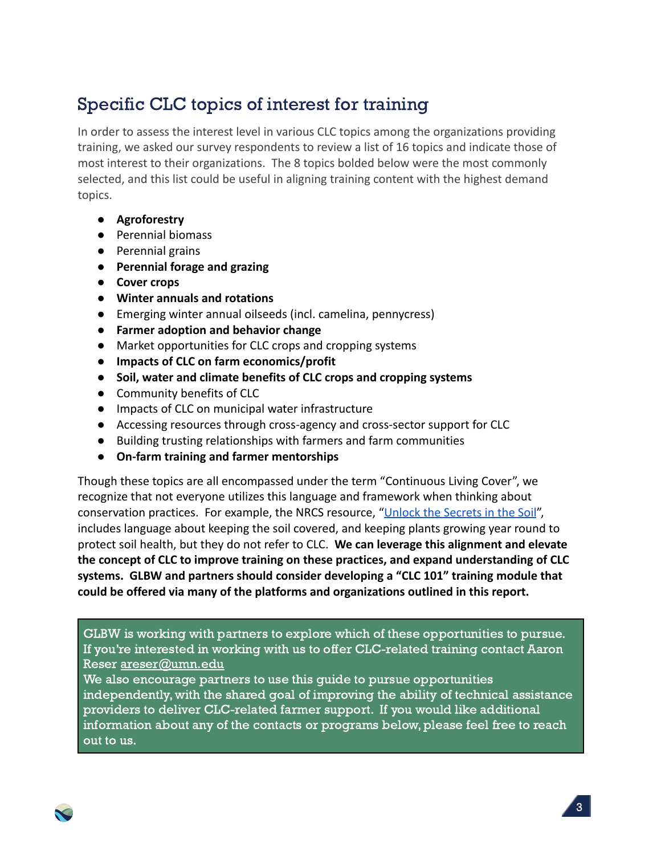# Specific CLC topics of interest for training

In order to assess the interest level in various CLC topics among the organizations providing training, we asked our survey respondents to review a list of 16 topics and indicate those of most interest to their organizations. The 8 topics bolded below were the most commonly selected, and this list could be useful in aligning training content with the highest demand topics.

- **● Agroforestry**
- Perennial biomass
- Perennial grains
- **● Perennial forage and grazing**
- **● Cover crops**
- **● Winter annuals and rotations**
- Emerging winter annual oilseeds (incl. camelina, pennycress)
- **● Farmer adoption and behavior change**
- Market opportunities for CLC crops and cropping systems
- **● Impacts of CLC on farm economics/profit**
- **● Soil, water and climate benefits of CLC crops and cropping systems**
- Community benefits of CLC
- Impacts of CLC on municipal water infrastructure
- Accessing resources through cross-agency and cross-sector support for CLC
- Building trusting relationships with farmers and farm communities
- **● On-farm training and farmer mentorships**

Though these topics are all encompassed under the term "Continuous Living Cover", we recognize that not everyone utilizes this language and framework when thinking about conservation practices. For example, the NRCS resource, "[Unlock the Secrets in the Soil](https://www.nrcs.usda.gov/Internet/FSE_DOCUMENTS/stelprdb1082147.pdf)", includes language about keeping the soil covered, and keeping plants growing year round to protect soil health, but they do not refer to CLC. **We can leverage this alignment and elevate the concept of CLC to improve training on these practices, and expand understanding of CLC systems. GLBW and partners should consider developing a "CLC 101" training module that could be offered via many of the platforms and organizations outlined in this report.**

GLBW is working with partners to explore which of these opportunities to pursue. If you're interested in working with us to offer CLC-related training contact Aaron Reser [areser@umn.edu](mailto:areser@umn.edu)

We also encourage partners to use this guide to pursue opportunities independently, with the shared goal of improving the ability of technical assistance providers to deliver CLC-related farmer support. If you would like additional information about any of the contacts or programs below, please feel free to reach out to us.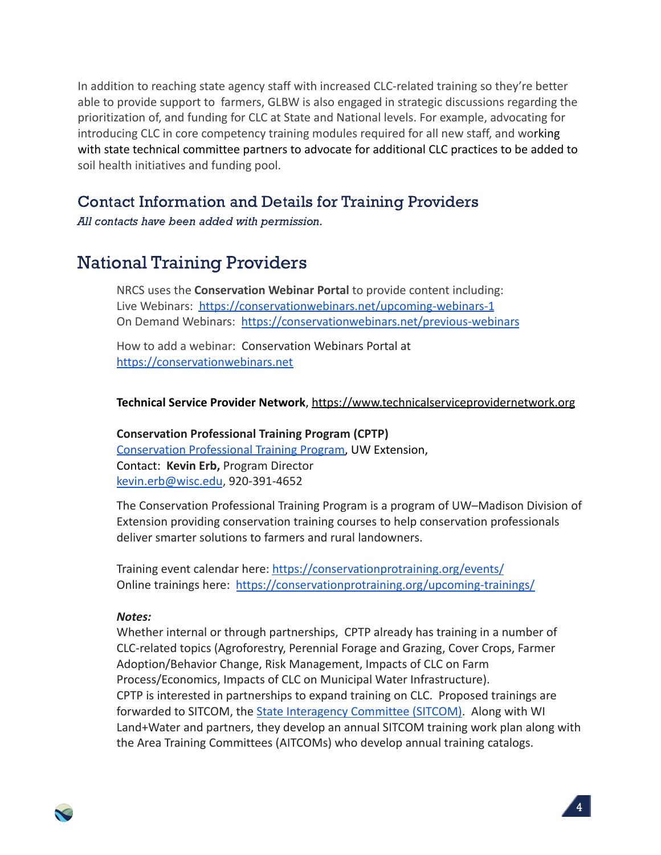In addition to reaching state agency staff with increased CLC-related training so they're better able to provide support to farmers, GLBW is also engaged in strategic discussions regarding the prioritization of, and funding for CLC at State and National levels. For example, advocating for introducing CLC in core competency training modules required for all new staff, and working with state technical committee partners to advocate for additional CLC practices to be added to soil health initiatives and funding pool.

### Contact Information and Details for Training Providers

All contacts have been added with permission.

### <span id="page-3-0"></span>National Training Providers

NRCS uses the **Conservation Webinar Portal** to provide content including: Live Webinars: <https://conservationwebinars.net/upcoming-webinars-1> On Demand Webinars: <https://conservationwebinars.net/previous-webinars>

How to add a webinar: Conservation Webinars Portal at [https://conservationwebinars.net](https://conservationwebinars.net/)

#### **Technical Service Provider Network**, <https://www.technicalserviceprovidernetwork.org>

<span id="page-3-1"></span>**Conservation Professional Training Program (CPTP)** [Conservation Professional Training Program,](https://conservationprotraining.org) UW Extension, Contact: **Kevin Erb,** Program Director [kevin.erb@wisc.edu](mailto:kevin.erb@wisc.edu), 920-391-4652

The Conservation Professional Training Program is a program of UW–Madison Division of Extension providing conservation training courses to help conservation professionals deliver smarter solutions to farmers and rural landowners.

Training event calendar here: <https://conservationprotraining.org/events/> Online trainings here: <https://conservationprotraining.org/upcoming-trainings/>

#### *Notes:*

Whether internal or through partnerships, CPTP already has training in a number of CLC-related topics (Agroforestry, Perennial Forage and Grazing, Cover Crops, Farmer Adoption/Behavior Change, Risk Management, Impacts of CLC on Farm Process/Economics, Impacts of CLC on Municipal Water Infrastructure). CPTP is interested in partnerships to expand training on CLC. Proposed trainings are forwarded to SITCOM, the [State Interagency Committee](https://wisconsinlandwater.org/our-work/conservation-training/sitcom) (SITCOM). Along with WI Land+Water and partners, they develop an annual SITCOM training work plan along with the Area Training Committees (AITCOMs) who develop annual training catalogs.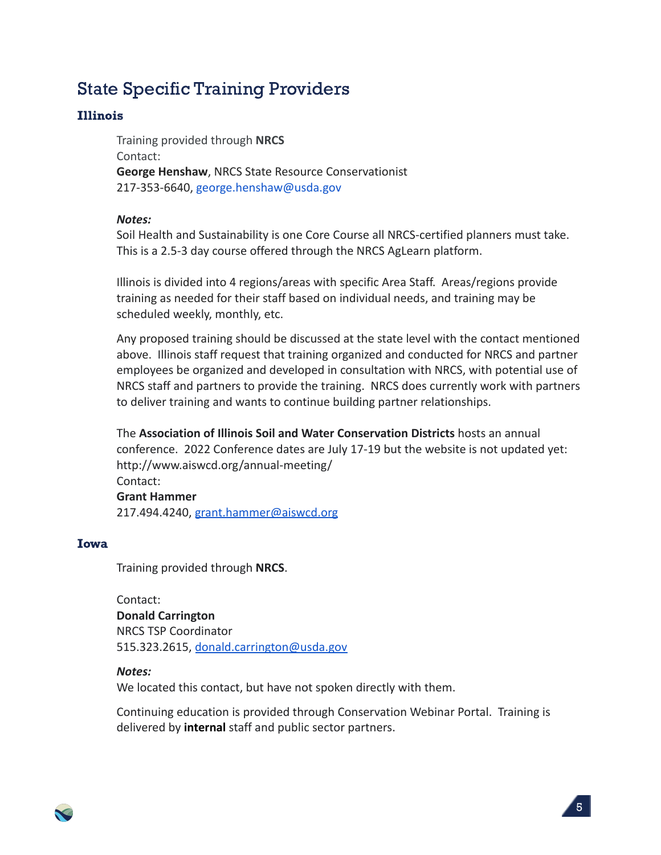### State Specific Training Providers

#### Illinois

Training provided through **NRCS** Contact: **George Henshaw**, NRCS State Resource Conservationist 217-353-6640, george.henshaw@usda.gov

#### *Notes:*

Soil Health and Sustainability is one Core Course all NRCS-certified planners must take. This is a 2.5-3 day course offered through the NRCS AgLearn platform.

Illinois is divided into 4 regions/areas with specific Area Staff. Areas/regions provide training as needed for their staff based on individual needs, and training may be scheduled weekly, monthly, etc.

Any proposed training should be discussed at the state level with the contact mentioned above. Illinois staff request that training organized and conducted for NRCS and partner employees be organized and developed in consultation with NRCS, with potential use of NRCS staff and partners to provide the training. NRCS does currently work with partners to deliver training and wants to continue building partner relationships.

The **Association of Illinois Soil and Water Conservation Districts** hosts an annual conference. 2022 Conference dates are July 17-19 but the website is not updated yet: http://www.aiswcd.org/annual-meeting/ Contact: **Grant Hammer** 217.494.4240, [grant.hammer@aiswcd.org](mailto:grant.hammer@aiswcd.org)

#### Iowa

Training provided through **NRCS**.

Contact: **Donald Carrington** NRCS TSP Coordinator 515.323.2615, [donald.carrington@usda.gov](mailto:donald.carrington@usda.gov)

#### *Notes:*

We located this contact, but have not spoken directly with them.

Continuing education is provided through Conservation Webinar Portal. Training is delivered by **internal** staff and public sector partners.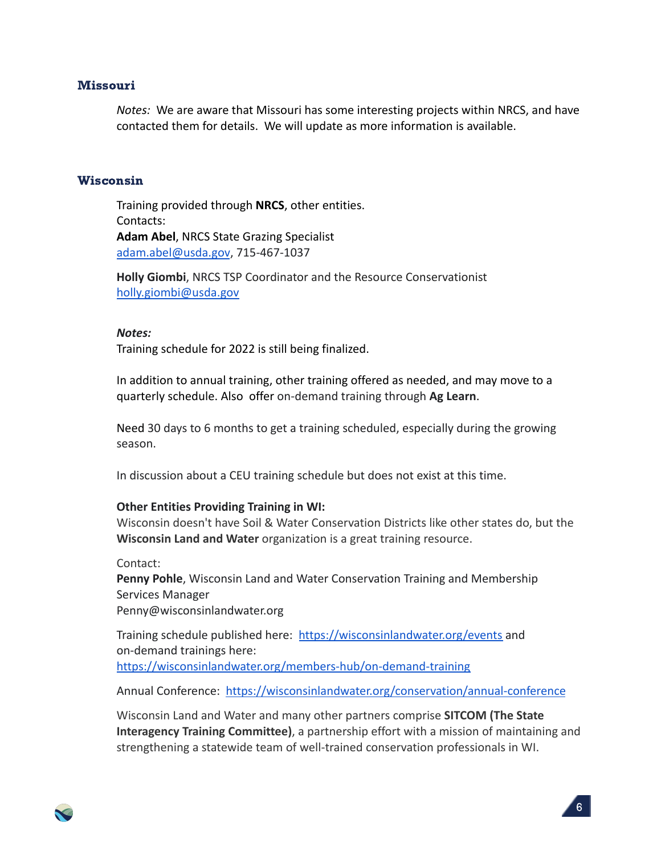#### Missouri

*Notes:* We are aware that Missouri has some interesting projects within NRCS, and have contacted them for details. We will update as more information is available.

#### Wisconsin

Training provided through **NRCS**, other entities. Contacts: **Adam Abel**, NRCS State Grazing Specialist [adam.abel@usda.gov](mailto:adam.abel@usda.gov), 715-467-1037

**Holly Giombi**, NRCS TSP Coordinator and the Resource Conservationist [holly.giombi@usda.gov](mailto:holly.giombi@usda.gov)

#### *Notes:*

Training schedule for 2022 is still being finalized.

In addition to annual training, other training offered as needed, and may move to a quarterly schedule. Also offer on-demand training through **Ag Learn**.

Need 30 days to 6 months to get a training scheduled, especially during the growing season.

In discussion about a CEU training schedule but does not exist at this time.

#### **Other Entities Providing Training in WI:**

<span id="page-5-0"></span>Wisconsin doesn't have Soil & Water Conservation Districts like other states do, but the **Wisconsin Land and Water** organization is a great training resource.

Contact: **Penny Pohle**, Wisconsin Land and Water Conservation Training and Membership Services Manager Penny@wisconsinlandwater.org

Training schedule published here: <https://wisconsinlandwater.org/events> and on-demand trainings here: <https://wisconsinlandwater.org/members-hub/on-demand-training>

Annual Conference: <https://wisconsinlandwater.org/conservation/annual-conference>

Wisconsin Land and Water and many other partners comprise **SITCOM (The State Interagency Training Committee)**, a partnership effort with a mission of maintaining and strengthening a statewide team of well-trained conservation professionals in WI.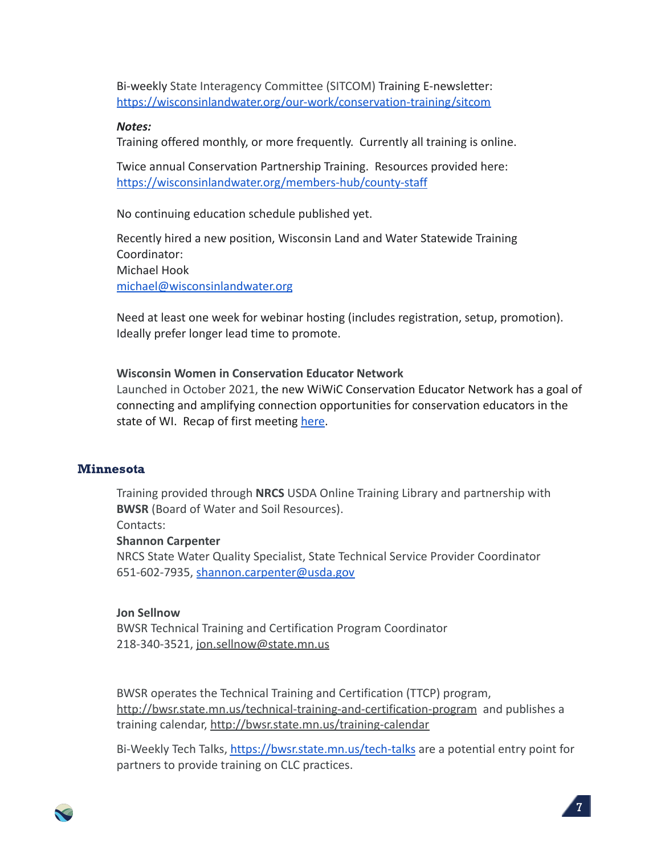Bi-weekly State Interagency Committee (SITCOM) Training E-newsletter: <https://wisconsinlandwater.org/our-work/conservation-training/sitcom>

#### *Notes:*

Training offered monthly, or more frequently. Currently all training is online.

Twice annual Conservation Partnership Training. Resources provided here: <https://wisconsinlandwater.org/members-hub/county-staff>

No continuing education schedule published yet.

Recently hired a new position, Wisconsin Land and Water Statewide Training Coordinator: Michael Hook [michael@wisconsinlandwater.org](mailto:michael@wisconsinlandwater.org)

Need at least one week for webinar hosting (includes registration, setup, promotion). Ideally prefer longer lead time to promote.

#### **Wisconsin Women in Conservation Educator Network**

Launched in October 2021, the new WiWiC Conservation Educator Network has a goal of connecting and amplifying connection opportunities for conservation educators in the state of WI. Recap of first meeting [here](https://www.wiwic.org/post/wiwic-educator-network-launch-recap-and-resources?utm_campaign=194baafa-0129-420c-ba55-c03940ff2ed2&utm_source=so&utm_medium=mail&cid=5620725a-62df-44a9-9707-c4e38ad5dfe4).

#### **Minnesota**

Training provided through **NRCS** USDA Online Training Library and partnership with **BWSR** (Board of Water and Soil Resources).

Contacts:

#### **Shannon Carpenter**

NRCS State Water Quality Specialist, State Technical Service Provider Coordinator 651-602-7935, [shannon.carpenter@usda.gov](mailto:shannon.carpenter@usda.gov)

#### **Jon Sellnow**

BWSR Technical Training and Certification Program Coordinator 218-340-3521, [jon.sellnow@state.mn.us](mailto:jon.sellnow@state.mn.us)

BWSR operates the Technical Training and Certification (TTCP) program, <http://bwsr.state.mn.us/technical-training-and-certification-program> and publishes a training calendar, <http://bwsr.state.mn.us/training-calendar>

Bi-Weekly Tech Talks, <https://bwsr.state.mn.us/tech-talks> are a potential entry point for partners to provide training on CLC practices.